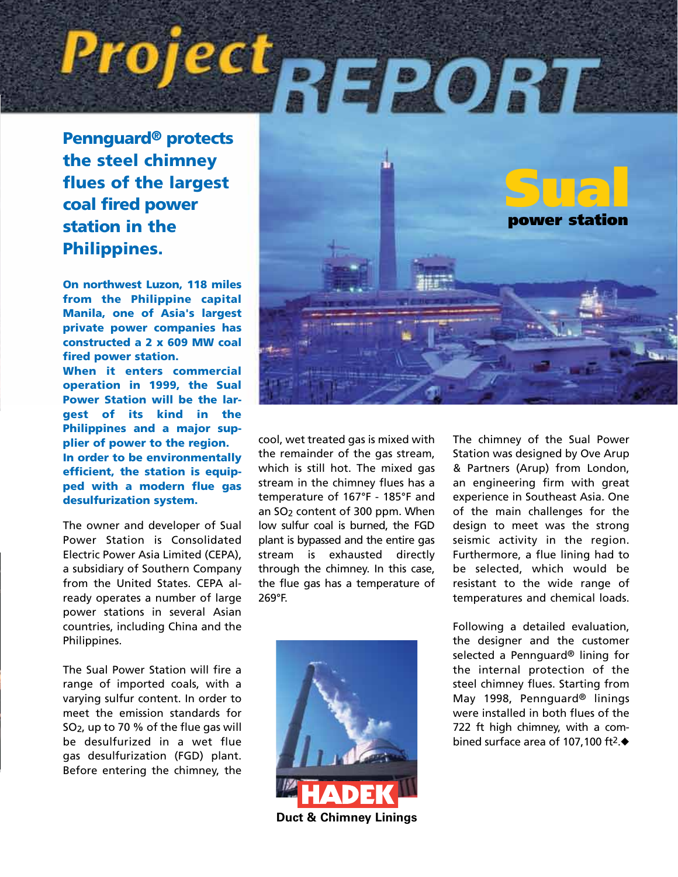# Project<sub>REPORT</sub>

the steel chimney flues of the largest coal fired power station in the Philippines.

On northwest Luzon, 118 miles from the Philippine capital Manila, one of Asia's largest private power companies has constructed a 2 x 609 MW coal fired power station.

When it enters commercial operation in 1999, the Sual Power Station will be the largest of its kind in the Philippines and a major supplier of power to the region. In order to be environmentally efficient, the station is equipped with a modern flue gas desulfurization system.

The owner and developer of Sual Power Station is Consolidated Electric Power Asia Limited (CEPA), a subsidiary of Southern Company from the United States. CEPA already operates a number of large power stations in several Asian countries, including China and the Philippines.

The Sual Power Station will fire a range of imported coals, with a varying sulfur content. In order to meet the emission standards for SO2, up to 70 % of the flue gas will be desulfurized in a wet flue gas desulfurization (FGD) plant. Before entering the chimney, the



cool, wet treated gas is mixed with the remainder of the gas stream, which is still hot. The mixed gas stream in the chimney flues has a temperature of 167°F - 185°F and an SO<sub>2</sub> content of 300 ppm. When low sulfur coal is burned, the FGD plant is bypassed and the entire gas stream is exhausted directly through the chimney. In this case, the flue gas has a temperature of 269°F.



The chimney of the Sual Power Station was designed by Ove Arup & Partners (Arup) from London, an engineering firm with great experience in Southeast Asia. One of the main challenges for the design to meet was the strong seismic activity in the region. Furthermore, a flue lining had to be selected, which would be resistant to the wide range of temperatures and chemical loads.

Following a detailed evaluation, the designer and the customer selected a Pennguard® lining for the internal protection of the steel chimney flues. Starting from May 1998, Pennguard® linings were installed in both flues of the 722 ft high chimney, with a combined surface area of 107,100 ft2.◆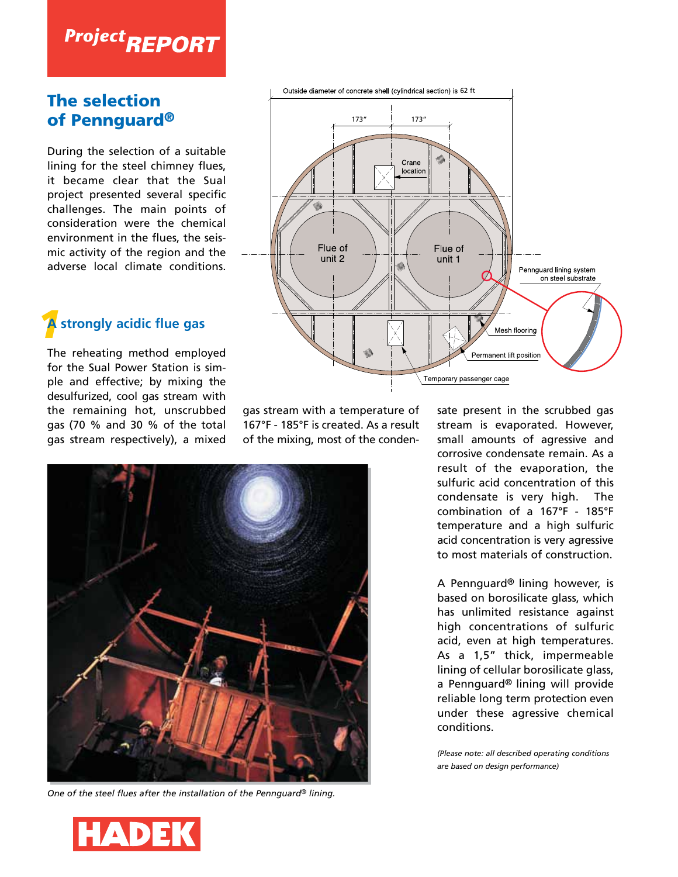## **Project REPORT**

#### The selection of Pennguard®

During the selection of a suitable lining for the steel chimney flues, it became clear that the Sual project presented several specific challenges. The main points of consideration were the chemical environment in the flues, the seismic activity of the region and the adverse local climate conditions.

### *1* **A strongly acidic flue gas**

The reheating method employed for the Sual Power Station is simple and effective; by mixing the desulfurized, cool gas stream with the remaining hot, unscrubbed gas (70 % and 30 % of the total gas stream respectively), a mixed



gas stream with a temperature of 167°F - 185°F is created. As a result of the mixing, most of the conden-



*One of the steel flues after the installation of the Pennguard® lining.*

sate present in the scrubbed gas stream is evaporated. However, small amounts of agressive and corrosive condensate remain. As a result of the evaporation, the sulfuric acid concentration of this condensate is very high. The combination of a 167°F - 185°F temperature and a high sulfuric acid concentration is very agressive to most materials of construction.

A Pennguard® lining however, is based on borosilicate glass, which has unlimited resistance against high concentrations of sulfuric acid, even at high temperatures. As a 1,5" thick, impermeable lining of cellular borosilicate glass, a Pennguard® lining will provide reliable long term protection even under these agressive chemical conditions.

*(Please note: all described operating conditions are based on design performance)*

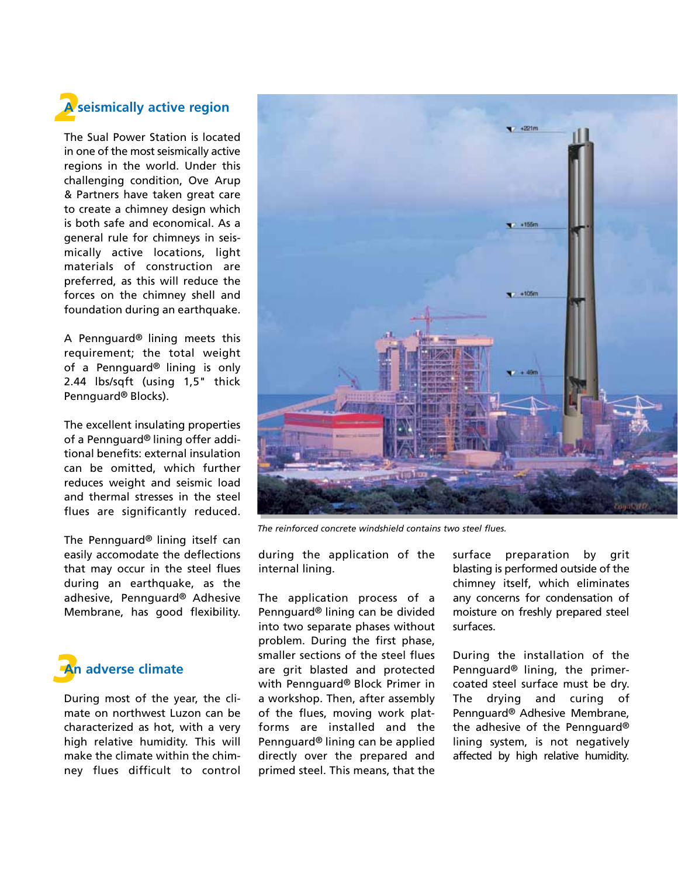

The Sual Power Station is located in one of the most seismically active regions in the world. Under this challenging condition, Ove Arup & Partners have taken great care to create a chimney design which is both safe and economical. As a general rule for chimneys in seismically active locations, light materials of construction are preferred, as this will reduce the forces on the chimney shell and foundation during an earthquake.

A Pennguard® lining meets this requirement; the total weight of a Pennguard® lining is only 2.44 lbs/sqft (using 1,5" thick Pennguard® Blocks).

The excellent insulating properties of a Pennguard® lining offer additional benefits: external insulation can be omitted, which further reduces weight and seismic load and thermal stresses in the steel flues are significantly reduced.

The Pennguard® lining itself can easily accomodate the deflections that may occur in the steel flues during an earthquake, as the adhesive, Pennguard® Adhesive Membrane, has good flexibility.



During most of the year, the climate on northwest Luzon can be characterized as hot, with a very high relative humidity. This will make the climate within the chimney flues difficult to control



*The reinforced concrete windshield contains two steel flues.*

during the application of the internal lining.

The application process of a Pennguard® lining can be divided into two separate phases without problem. During the first phase, smaller sections of the steel flues are grit blasted and protected with Pennguard® Block Primer in a workshop. Then, after assembly of the flues, moving work platforms are installed and the Pennguard® lining can be applied directly over the prepared and primed steel. This means, that the

surface preparation by grit blasting is performed outside of the chimney itself, which eliminates any concerns for condensation of moisture on freshly prepared steel surfaces.

During the installation of the Pennguard® lining, the primercoated steel surface must be dry. The drying and curing of Pennguard® Adhesive Membrane, the adhesive of the Pennguard® lining system, is not negatively affected by high relative humidity.